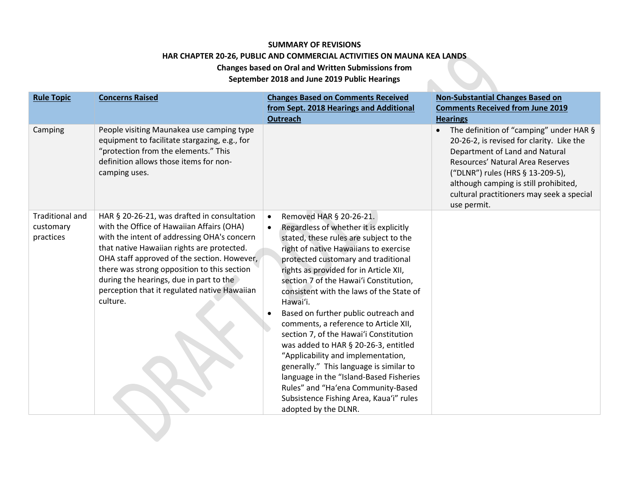## **SUMMARY OF REVISIONS HAR CHAPTER 20-26, PUBLIC AND COMMERCIAL ACTIVITIES ON MAUNA KEA LANDS Changes based on Oral and Written Submissions from**

**September 2018 and June 2019 Public Hearings**

 $\blacksquare$ 

| <b>Rule Topic</b>                                | <b>Concerns Raised</b>                                                                                                                                                                                                                                                                                                                                                                     | <b>Changes Based on Comments Received</b><br>from Sept. 2018 Hearings and Additional<br><b>Outreach</b>                                                                                                                                                                                                                                                                                                                                                                                                                                                                                                                                                                                                                                         | <b>Non-Substantial Changes Based on</b><br><b>Comments Received from June 2019</b><br><b>Hearings</b>                                                                                                                                                                                               |
|--------------------------------------------------|--------------------------------------------------------------------------------------------------------------------------------------------------------------------------------------------------------------------------------------------------------------------------------------------------------------------------------------------------------------------------------------------|-------------------------------------------------------------------------------------------------------------------------------------------------------------------------------------------------------------------------------------------------------------------------------------------------------------------------------------------------------------------------------------------------------------------------------------------------------------------------------------------------------------------------------------------------------------------------------------------------------------------------------------------------------------------------------------------------------------------------------------------------|-----------------------------------------------------------------------------------------------------------------------------------------------------------------------------------------------------------------------------------------------------------------------------------------------------|
| Camping                                          | People visiting Maunakea use camping type<br>equipment to facilitate stargazing, e.g., for<br>"protection from the elements." This<br>definition allows those items for non-<br>camping uses.                                                                                                                                                                                              |                                                                                                                                                                                                                                                                                                                                                                                                                                                                                                                                                                                                                                                                                                                                                 | The definition of "camping" under HAR §<br>20-26-2, is revised for clarity. Like the<br>Department of Land and Natural<br>Resources' Natural Area Reserves<br>("DLNR") rules (HRS § 13-209-5),<br>although camping is still prohibited,<br>cultural practitioners may seek a special<br>use permit. |
| <b>Traditional and</b><br>customary<br>practices | HAR § 20-26-21, was drafted in consultation<br>with the Office of Hawaiian Affairs (OHA)<br>with the intent of addressing OHA's concern<br>that native Hawaiian rights are protected.<br>OHA staff approved of the section. However,<br>there was strong opposition to this section<br>during the hearings, due in part to the<br>perception that it regulated native Hawaiian<br>culture. | Removed HAR § 20-26-21.<br>Regardless of whether it is explicitly<br>stated, these rules are subject to the<br>right of native Hawaiians to exercise<br>protected customary and traditional<br>rights as provided for in Article XII,<br>section 7 of the Hawai'i Constitution,<br>consistent with the laws of the State of<br>Hawai'i.<br>Based on further public outreach and<br>comments, a reference to Article XII,<br>section 7, of the Hawai'i Constitution<br>was added to HAR § 20-26-3, entitled<br>"Applicability and implementation,<br>generally." This language is similar to<br>language in the "Island-Based Fisheries<br>Rules" and "Ha'ena Community-Based<br>Subsistence Fishing Area, Kaua'i" rules<br>adopted by the DLNR. |                                                                                                                                                                                                                                                                                                     |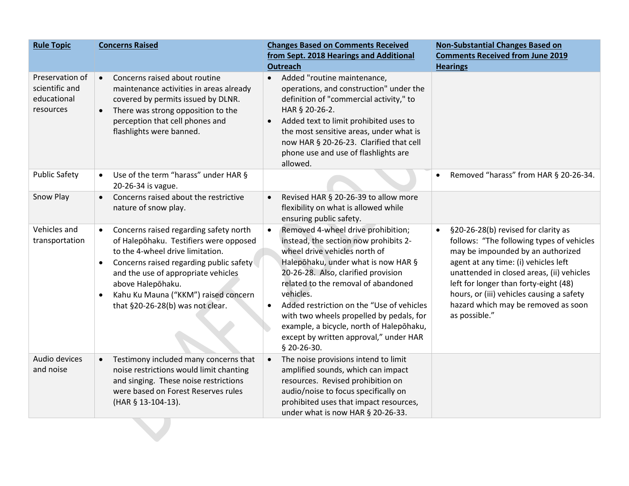| <b>Rule Topic</b>                                             | <b>Concerns Raised</b>                                                                                                                                                                                                                                                                                                            | <b>Changes Based on Comments Received</b><br>from Sept. 2018 Hearings and Additional<br><b>Outreach</b>                                                                                                                                                                                                                                                                                                                                                                | <b>Non-Substantial Changes Based on</b><br><b>Comments Received from June 2019</b><br><b>Hearings</b>                                                                                                                                                                                                                                                                 |
|---------------------------------------------------------------|-----------------------------------------------------------------------------------------------------------------------------------------------------------------------------------------------------------------------------------------------------------------------------------------------------------------------------------|------------------------------------------------------------------------------------------------------------------------------------------------------------------------------------------------------------------------------------------------------------------------------------------------------------------------------------------------------------------------------------------------------------------------------------------------------------------------|-----------------------------------------------------------------------------------------------------------------------------------------------------------------------------------------------------------------------------------------------------------------------------------------------------------------------------------------------------------------------|
| Preservation of<br>scientific and<br>educational<br>resources | Concerns raised about routine<br>$\bullet$<br>maintenance activities in areas already<br>covered by permits issued by DLNR.<br>There was strong opposition to the<br>$\bullet$<br>perception that cell phones and<br>flashlights were banned.                                                                                     | Added "routine maintenance,<br>$\bullet$<br>operations, and construction" under the<br>definition of "commercial activity," to<br>HAR § 20-26-2.<br>Added text to limit prohibited uses to<br>$\bullet$<br>the most sensitive areas, under what is<br>now HAR § 20-26-23. Clarified that cell<br>phone use and use of flashlights are<br>allowed.                                                                                                                      |                                                                                                                                                                                                                                                                                                                                                                       |
| <b>Public Safety</b>                                          | Use of the term "harass" under HAR §<br>20-26-34 is vague.                                                                                                                                                                                                                                                                        |                                                                                                                                                                                                                                                                                                                                                                                                                                                                        | Removed "harass" from HAR § 20-26-34.<br>$\bullet$                                                                                                                                                                                                                                                                                                                    |
| Snow Play                                                     | Concerns raised about the restrictive<br>$\bullet$<br>nature of snow play.                                                                                                                                                                                                                                                        | Revised HAR § 20-26-39 to allow more<br>flexibility on what is allowed while<br>ensuring public safety.                                                                                                                                                                                                                                                                                                                                                                |                                                                                                                                                                                                                                                                                                                                                                       |
| Vehicles and<br>transportation                                | Concerns raised regarding safety north<br>$\bullet$<br>of Halepōhaku. Testifiers were opposed<br>to the 4-wheel drive limitation.<br>Concerns raised regarding public safety<br>and the use of appropriate vehicles<br>above Halepōhaku.<br>Kahu Ku Mauna ("KKM") raised concern<br>$\bullet$<br>that §20-26-28(b) was not clear. | Removed 4-wheel drive prohibition;<br>$\bullet$<br>instead, the section now prohibits 2-<br>wheel drive vehicles north of<br>Halepōhaku, under what is now HAR §<br>20-26-28. Also, clarified provision<br>related to the removal of abandoned<br>vehicles.<br>Added restriction on the "Use of vehicles<br>$\bullet$<br>with two wheels propelled by pedals, for<br>example, a bicycle, north of Halepohaku,<br>except by written approval," under HAR<br>§ 20-26-30. | §20-26-28(b) revised for clarity as<br>$\bullet$<br>follows: "The following types of vehicles<br>may be impounded by an authorized<br>agent at any time: (i) vehicles left<br>unattended in closed areas, (ii) vehicles<br>left for longer than forty-eight (48)<br>hours, or (iii) vehicles causing a safety<br>hazard which may be removed as soon<br>as possible." |
| Audio devices<br>and noise                                    | Testimony included many concerns that<br>$\bullet$<br>noise restrictions would limit chanting<br>and singing. These noise restrictions<br>were based on Forest Reserves rules<br>(HAR § 13-104-13).                                                                                                                               | The noise provisions intend to limit<br>$\bullet$<br>amplified sounds, which can impact<br>resources. Revised prohibition on<br>audio/noise to focus specifically on<br>prohibited uses that impact resources,<br>under what is now HAR § 20-26-33.                                                                                                                                                                                                                    |                                                                                                                                                                                                                                                                                                                                                                       |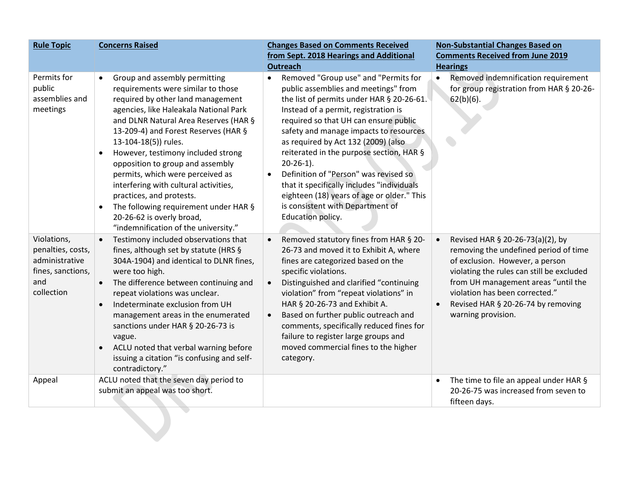| <b>Rule Topic</b>                                                                            | <b>Concerns Raised</b>                                                                                                                                                                                                                                                                                                                                                                                                                                                                                                                                                                              | <b>Changes Based on Comments Received</b><br>from Sept. 2018 Hearings and Additional<br><b>Outreach</b>                                                                                                                                                                                                                                                                                                                                                                                                                                                                         | <b>Non-Substantial Changes Based on</b><br><b>Comments Received from June 2019</b><br><b>Hearings</b>                                                                                                                                                                                          |
|----------------------------------------------------------------------------------------------|-----------------------------------------------------------------------------------------------------------------------------------------------------------------------------------------------------------------------------------------------------------------------------------------------------------------------------------------------------------------------------------------------------------------------------------------------------------------------------------------------------------------------------------------------------------------------------------------------------|---------------------------------------------------------------------------------------------------------------------------------------------------------------------------------------------------------------------------------------------------------------------------------------------------------------------------------------------------------------------------------------------------------------------------------------------------------------------------------------------------------------------------------------------------------------------------------|------------------------------------------------------------------------------------------------------------------------------------------------------------------------------------------------------------------------------------------------------------------------------------------------|
| Permits for<br>public<br>assemblies and<br>meetings                                          | Group and assembly permitting<br>$\bullet$<br>requirements were similar to those<br>required by other land management<br>agencies, like Haleakala National Park<br>and DLNR Natural Area Reserves (HAR §<br>13-209-4) and Forest Reserves (HAR §<br>13-104-18(5)) rules.<br>However, testimony included strong<br>$\bullet$<br>opposition to group and assembly<br>permits, which were perceived as<br>interfering with cultural activities,<br>practices, and protests.<br>The following requirement under HAR §<br>$\bullet$<br>20-26-62 is overly broad,<br>"indemnification of the university." | Removed "Group use" and "Permits for<br>$\bullet$<br>public assemblies and meetings" from<br>the list of permits under HAR § 20-26-61.<br>Instead of a permit, registration is<br>required so that UH can ensure public<br>safety and manage impacts to resources<br>as required by Act 132 (2009) (also<br>reiterated in the purpose section, HAR §<br>$20-26-1$ ).<br>Definition of "Person" was revised so<br>$\bullet$<br>that it specifically includes "individuals<br>eighteen (18) years of age or older." This<br>is consistent with Department of<br>Education policy. | Removed indemnification requirement<br>$\bullet$<br>for group registration from HAR § 20-26-<br>$62(b)(6)$ .                                                                                                                                                                                   |
| Violations,<br>penalties, costs,<br>administrative<br>fines, sanctions,<br>and<br>collection | Testimony included observations that<br>fines, although set by statute (HRS §<br>304A-1904) and identical to DLNR fines,<br>were too high.<br>The difference between continuing and<br>repeat violations was unclear.<br>Indeterminate exclusion from UH<br>management areas in the enumerated<br>sanctions under HAR § 20-26-73 is<br>vague.<br>ACLU noted that verbal warning before<br>issuing a citation "is confusing and self-<br>contradictory."                                                                                                                                             | Removed statutory fines from HAR § 20-<br>$\bullet$<br>26-73 and moved it to Exhibit A, where<br>fines are categorized based on the<br>specific violations.<br>Distinguished and clarified "continuing<br>violation" from "repeat violations" in<br>HAR § 20-26-73 and Exhibit A.<br>Based on further public outreach and<br>$\bullet$<br>comments, specifically reduced fines for<br>failure to register large groups and<br>moved commercial fines to the higher<br>category.                                                                                                 | Revised HAR § 20-26-73(a)(2), by<br>removing the undefined period of time<br>of exclusion. However, a person<br>violating the rules can still be excluded<br>from UH management areas "until the<br>violation has been corrected."<br>Revised HAR § 20-26-74 by removing<br>warning provision. |
| Appeal                                                                                       | ACLU noted that the seven day period to<br>submit an appeal was too short.                                                                                                                                                                                                                                                                                                                                                                                                                                                                                                                          |                                                                                                                                                                                                                                                                                                                                                                                                                                                                                                                                                                                 | The time to file an appeal under HAR §<br>$\bullet$<br>20-26-75 was increased from seven to<br>fifteen days.                                                                                                                                                                                   |
|                                                                                              |                                                                                                                                                                                                                                                                                                                                                                                                                                                                                                                                                                                                     |                                                                                                                                                                                                                                                                                                                                                                                                                                                                                                                                                                                 |                                                                                                                                                                                                                                                                                                |